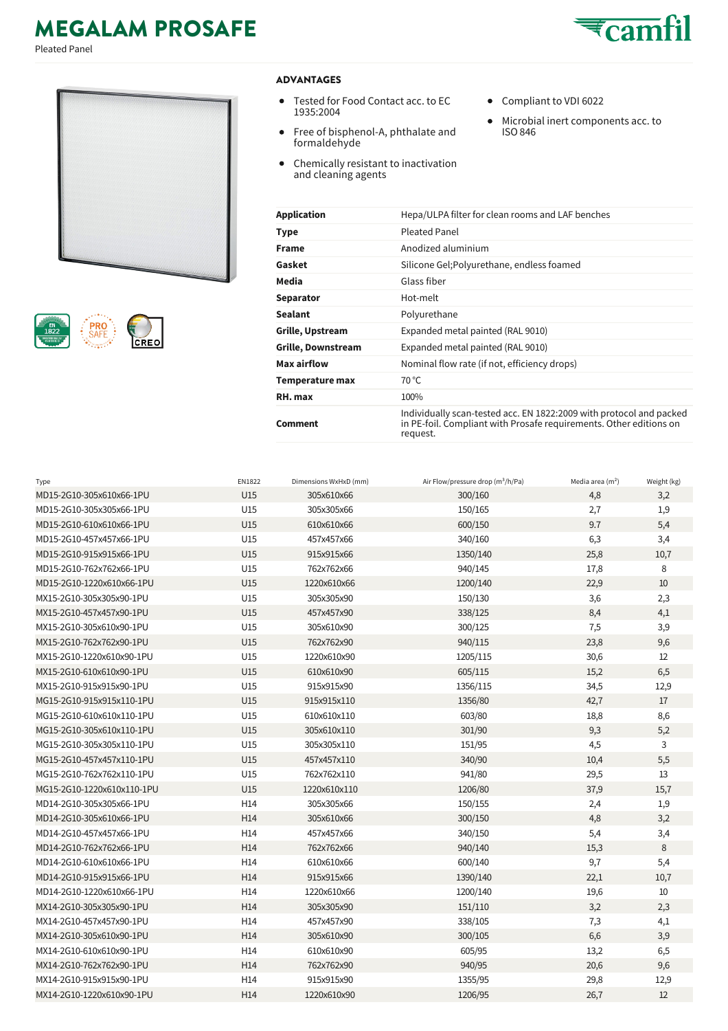## **MEGALAM PROSAFE**

Pleated Panel





## **ADVANTAGES**

- Tested for Food Contact acc. to EC 1935:2004
- $\bullet$ Free of bisphenol-A, phthalate and formaldehyde
- $\bullet$ Chemically resistant to inactivation and cleaning agents
- Compliant to VDI 6022
- $\bullet$ Microbial inert components acc. to ISO 846

| Application        | Hepa/ULPA filter for clean rooms and LAF benches                                                                                                      |
|--------------------|-------------------------------------------------------------------------------------------------------------------------------------------------------|
| Type               | Pleated Panel                                                                                                                                         |
| Frame              | Anodized aluminium                                                                                                                                    |
| Gasket             | Silicone Gel; Polyurethane, endless foamed                                                                                                            |
| Media              | Glass fiber                                                                                                                                           |
| Separator          | Hot-melt                                                                                                                                              |
| Sealant            | Polyurethane                                                                                                                                          |
| Grille, Upstream   | Expanded metal painted (RAL 9010)                                                                                                                     |
| Grille, Downstream | Expanded metal painted (RAL 9010)                                                                                                                     |
| Max airflow        | Nominal flow rate (if not, efficiency drops)                                                                                                          |
| Temperature max    | $70^{\circ}$ C                                                                                                                                        |
| RH. max            | 100%                                                                                                                                                  |
| Comment            | Individually scan-tested acc. EN 1822:2009 with protocol and packed<br>in PE-foil. Compliant with Prosafe requirements. Other editions on<br>request. |

| Type                       | EN1822          | Dimensions WxHxD (mm) | Air Flow/pressure drop (m <sup>3</sup> /h/Pa) | Media area $(m2)$ | Weight (kg) |
|----------------------------|-----------------|-----------------------|-----------------------------------------------|-------------------|-------------|
| MD15-2G10-305x610x66-1PU   | U15             | 305x610x66            | 300/160                                       | 4,8               | 3,2         |
| MD15-2G10-305x305x66-1PU   | U15             | 305x305x66            | 150/165                                       | 2,7               | 1,9         |
| MD15-2G10-610x610x66-1PU   | U15             | 610x610x66            | 600/150                                       | 9.7               | 5,4         |
| MD15-2G10-457x457x66-1PU   | U15             | 457x457x66            | 340/160                                       | 6,3               | 3,4         |
| MD15-2G10-915x915x66-1PU   | U15             | 915x915x66            | 1350/140                                      | 25,8              | 10,7        |
| MD15-2G10-762x762x66-1PU   | U15             | 762x762x66            | 940/145                                       | 17,8              | 8           |
| MD15-2G10-1220x610x66-1PU  | U15             | 1220x610x66           | 1200/140                                      | 22,9              | 10          |
| MX15-2G10-305x305x90-1PU   | U15             | 305x305x90            | 150/130                                       | 3,6               | 2,3         |
| MX15-2G10-457x457x90-1PU   | U15             | 457x457x90            | 338/125                                       | 8,4               | 4,1         |
| MX15-2G10-305x610x90-1PU   | U15             | 305x610x90            | 300/125                                       | 7,5               | 3,9         |
| MX15-2G10-762x762x90-1PU   | U15             | 762x762x90            | 940/115                                       | 23,8              | 9,6         |
| MX15-2G10-1220x610x90-1PU  | U15             | 1220x610x90           | 1205/115                                      | 30,6              | 12          |
| MX15-2G10-610x610x90-1PU   | U15             | 610x610x90            | 605/115                                       | 15,2              | 6,5         |
| MX15-2G10-915x915x90-1PU   | U15             | 915x915x90            | 1356/115                                      | 34,5              | 12,9        |
| MG15-2G10-915x915x110-1PU  | U15             | 915x915x110           | 1356/80                                       | 42,7              | 17          |
| MG15-2G10-610x610x110-1PU  | U15             | 610x610x110           | 603/80                                        | 18,8              | 8,6         |
| MG15-2G10-305x610x110-1PU  | U15             | 305x610x110           | 301/90                                        | 9,3               | 5,2         |
| MG15-2G10-305x305x110-1PU  | U15             | 305x305x110           | 151/95                                        | 4,5               | 3           |
| MG15-2G10-457x457x110-1PU  | U15             | 457x457x110           | 340/90                                        | 10,4              | 5,5         |
| MG15-2G10-762x762x110-1PU  | U15             | 762x762x110           | 941/80                                        | 29,5              | 13          |
| MG15-2G10-1220x610x110-1PU | U15             | 1220x610x110          | 1206/80                                       | 37,9              | 15,7        |
| MD14-2G10-305x305x66-1PU   | H14             | 305x305x66            | 150/155                                       | 2,4               | 1,9         |
| MD14-2G10-305x610x66-1PU   | H <sub>14</sub> | 305x610x66            | 300/150                                       | 4,8               | 3,2         |
| MD14-2G10-457x457x66-1PU   | H14             | 457x457x66            | 340/150                                       | 5,4               | 3,4         |
| MD14-2G10-762x762x66-1PU   | H <sub>14</sub> | 762x762x66            | 940/140                                       | 15,3              | 8           |
| MD14-2G10-610x610x66-1PU   | H14             | 610x610x66            | 600/140                                       | 9,7               | 5,4         |
| MD14-2G10-915x915x66-1PU   | H14             | 915x915x66            | 1390/140                                      | 22,1              | 10,7        |
| MD14-2G10-1220x610x66-1PU  | H14             | 1220x610x66           | 1200/140                                      | 19,6              | 10          |
| MX14-2G10-305x305x90-1PU   | H <sub>14</sub> | 305x305x90            | 151/110                                       | 3,2               | 2,3         |
| MX14-2G10-457x457x90-1PU   | H14             | 457x457x90            | 338/105                                       | 7,3               | 4,1         |
| MX14-2G10-305x610x90-1PU   | H <sub>14</sub> | 305x610x90            | 300/105                                       | 6,6               | 3,9         |
| MX14-2G10-610x610x90-1PU   | H14             | 610x610x90            | 605/95                                        | 13,2              | 6,5         |
| MX14-2G10-762x762x90-1PU   | H <sub>14</sub> | 762x762x90            | 940/95                                        | 20,6              | 9,6         |
| MX14-2G10-915x915x90-1PU   | H14             | 915x915x90            | 1355/95                                       | 29,8              | 12,9        |
| MX14-2G10-1220x610x90-1PU  | H <sub>14</sub> | 1220x610x90           | 1206/95                                       | 26,7              | 12          |
|                            |                 |                       |                                               |                   |             |